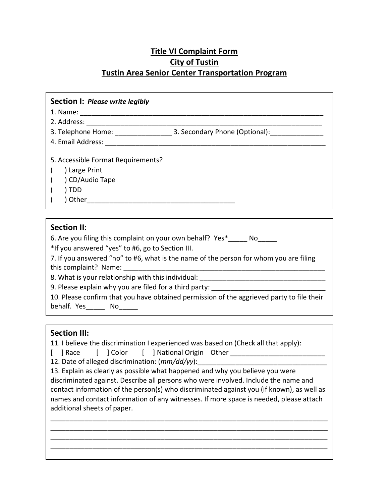## **Title VI Complaint Form City of Tustin Tustin Area Senior Center Transportation Program**

| Section I: Please write legibly                           |      |
|-----------------------------------------------------------|------|
|                                                           |      |
|                                                           |      |
|                                                           |      |
|                                                           |      |
| 5. Accessible Format Requirements?                        |      |
| Large Print                                               |      |
| CD/Audio Tape                                             |      |
| ) TDD                                                     |      |
|                                                           |      |
|                                                           |      |
| <b>Section II:</b>                                        |      |
| 6. Are you filing this complaint on your own behalf? Yes* | No l |
| *If you answered "yes" to #6, go to Section III.          |      |

7. If you answered "no" to #6, what is the name of the person for whom you are filing this complaint? Name: \_\_\_\_\_\_\_\_\_\_\_\_\_\_\_\_\_\_\_\_\_\_\_\_\_\_\_\_\_\_\_\_\_\_\_\_\_\_\_\_\_\_\_\_\_\_\_\_\_\_\_\_\_

8. What is your relationship with this individual:

9. Please explain why you are filed for a third party:

10. Please confirm that you have obtained permission of the aggrieved party to file their behalf. Yes No

## **Section III:**

11. I believe the discrimination I experienced was based on (Check all that apply):

[ ] Race [ ] Color [ ] National Origin Other \_\_\_\_\_\_\_\_\_\_\_\_\_\_\_\_\_\_\_\_\_\_\_\_\_\_\_\_\_\_\_\_\_\_\_

12. Date of alleged discrimination: ( $mm/dd/yy$ ):

13. Explain as clearly as possible what happened and why you believe you were discriminated against. Describe all persons who were involved. Include the name and contact information of the person(s) who discriminated against you (if known), as well as names and contact information of any witnesses. If more space is needed, please attach additional sheets of paper.

\_\_\_\_\_\_\_\_\_\_\_\_\_\_\_\_\_\_\_\_\_\_\_\_\_\_\_\_\_\_\_\_\_\_\_\_\_\_\_\_\_\_\_\_\_\_\_\_\_\_\_\_\_\_\_\_\_\_\_\_\_\_\_\_\_\_\_\_\_\_\_\_\_ \_\_\_\_\_\_\_\_\_\_\_\_\_\_\_\_\_\_\_\_\_\_\_\_\_\_\_\_\_\_\_\_\_\_\_\_\_\_\_\_\_\_\_\_\_\_\_\_\_\_\_\_\_\_\_\_\_\_\_\_\_\_\_\_\_\_\_\_\_\_\_\_\_ \_\_\_\_\_\_\_\_\_\_\_\_\_\_\_\_\_\_\_\_\_\_\_\_\_\_\_\_\_\_\_\_\_\_\_\_\_\_\_\_\_\_\_\_\_\_\_\_\_\_\_\_\_\_\_\_\_\_\_\_\_\_\_\_\_\_\_\_\_\_\_\_\_ \_\_\_\_\_\_\_\_\_\_\_\_\_\_\_\_\_\_\_\_\_\_\_\_\_\_\_\_\_\_\_\_\_\_\_\_\_\_\_\_\_\_\_\_\_\_\_\_\_\_\_\_\_\_\_\_\_\_\_\_\_\_\_\_\_\_\_\_\_\_\_\_\_